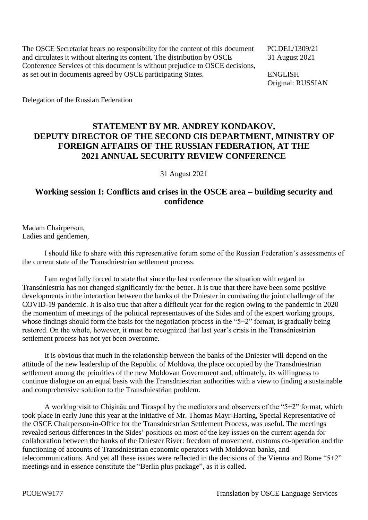The OSCE Secretariat bears no responsibility for the content of this document PC.DEL/1309/21 and circulates it without altering its content. The distribution by OSCE 31 August 2021 Conference Services of this document is without prejudice to OSCE decisions, as set out in documents agreed by OSCE participating States. ENGLISH

Original: RUSSIAN

Delegation of the Russian Federation

## **STATEMENT BY MR. ANDREY KONDAKOV, DEPUTY DIRECTOR OF THE SECOND CIS DEPARTMENT, MINISTRY OF FOREIGN AFFAIRS OF THE RUSSIAN FEDERATION, AT THE 2021 ANNUAL SECURITY REVIEW CONFERENCE**

31 August 2021

## **Working session I: Conflicts and crises in the OSCE area – building security and confidence**

Madam Chairperson, Ladies and gentlemen,

I should like to share with this representative forum some of the Russian Federation's assessments of the current state of the Transdniestrian settlement process.

I am regretfully forced to state that since the last conference the situation with regard to Transdniestria has not changed significantly for the better. It is true that there have been some positive developments in the interaction between the banks of the Dniester in combating the joint challenge of the COVID-19 pandemic. It is also true that after a difficult year for the region owing to the pandemic in 2020 the momentum of meetings of the political representatives of the Sides and of the expert working groups, whose findings should form the basis for the negotiation process in the "5+2" format, is gradually being restored. On the whole, however, it must be recognized that last year's crisis in the Transdniestrian settlement process has not yet been overcome.

It is obvious that much in the relationship between the banks of the Dniester will depend on the attitude of the new leadership of the Republic of Moldova, the place occupied by the Transdniestrian settlement among the priorities of the new Moldovan Government and, ultimately, its willingness to continue dialogue on an equal basis with the Transdniestrian authorities with a view to finding a sustainable and comprehensive solution to the Transdniestrian problem.

A working visit to Chişinău and Tiraspol by the mediators and observers of the "5+2" format, which took place in early June this year at the initiative of Mr. Thomas Mayr-Harting, Special Representative of the OSCE Chairperson-in-Office for the Transdniestrian Settlement Process, was useful. The meetings revealed serious differences in the Sides' positions on most of the key issues on the current agenda for collaboration between the banks of the Dniester River: freedom of movement, customs co-operation and the functioning of accounts of Transdniestrian economic operators with Moldovan banks, and telecommunications. And yet all these issues were reflected in the decisions of the Vienna and Rome "5+2" meetings and in essence constitute the "Berlin plus package", as it is called.